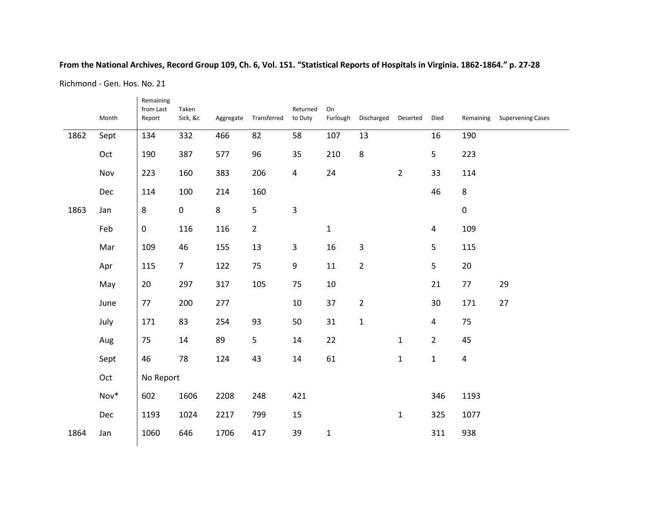## **From the National Archives, Record Group 109, Ch. 6, Vol. 151. "Statistical Reports of Hospitals in Virginia. 1862-1864." p. 27-28**

Richmond - Gen. Hos. No. 21

|      | Month | Remaining<br>from Last<br>Report | Taken<br>Sick, &c | Aggregate | Transferred    | Returned<br>to Duty | On<br>Furlough | Discharged     | Deserted       | Died           | Remaining      | <b>Supervening Cases</b> |
|------|-------|----------------------------------|-------------------|-----------|----------------|---------------------|----------------|----------------|----------------|----------------|----------------|--------------------------|
| 1862 | Sept  | 134                              | 332               | 466       | 82             | 58                  | 107            | 13             |                | 16             | 190            |                          |
|      | Oct   | 190                              | 387               | 577       | 96             | 35                  | 210            | 8              |                | 5              | 223            |                          |
|      | Nov   | 223                              | 160               | 383       | 206            | 4                   | 24             |                | $\overline{2}$ | 33             | 114            |                          |
|      | Dec   | 114                              | 100               | 214       | 160            |                     |                |                |                | 46             | 8              |                          |
| 1863 | Jan   | 8                                | $\boldsymbol{0}$  | 8         | 5              | 3                   |                |                |                |                | $\pmb{0}$      |                          |
|      | Feb   | $\mathbf 0$                      | 116               | 116       | $\overline{2}$ |                     | $\mathbf{1}$   |                |                | 4              | 109            |                          |
|      | Mar   | 109                              | 46                | 155       | 13             | 3                   | 16             | 3              |                | 5              | 115            |                          |
|      | Apr   | 115                              | $\overline{7}$    | 122       | 75             | 9                   | 11             | $\overline{2}$ |                | 5              | 20             |                          |
|      | May   | 20                               | 297               | 317       | 105            | 75                  | $10\,$         |                |                | 21             | $77\,$         | 29                       |
|      | June  | 77                               | 200               | 277       |                | 10                  | 37             | $\overline{2}$ |                | 30             | 171            | 27                       |
|      | July  | 171                              | 83                | 254       | 93             | 50                  | 31             | $\mathbf 1$    |                | $\overline{4}$ | 75             |                          |
|      | Aug   | 75                               | 14                | 89        | 5              | 14                  | 22             |                | $\mathbf{1}$   | $\overline{2}$ | 45             |                          |
|      | Sept  | 46                               | 78                | 124       | 43             | 14                  | 61             |                | $\mathbf{1}$   | $\mathbf 1$    | $\overline{4}$ |                          |
|      | Oct   | No Report                        |                   |           |                |                     |                |                |                |                |                |                          |
|      | Nov*  | 602                              | 1606              | 2208      | 248            | 421                 |                |                |                | 346            | 1193           |                          |
|      | Dec   | 1193                             | 1024              | 2217      | 799            | 15                  |                |                | $\mathbf{1}$   | 325            | 1077           |                          |
| 1864 | Jan   | 1060                             | 646               | 1706      | 417            | 39                  | $\mathbf{1}$   |                |                | 311            | 938            |                          |